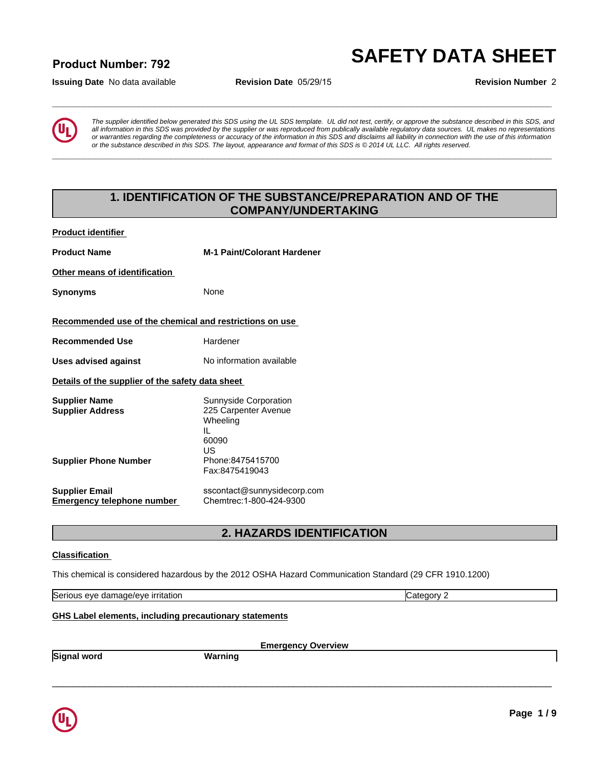# **\_\_\_\_\_\_\_\_\_\_\_\_\_\_\_\_\_\_\_\_\_\_\_\_\_\_\_\_\_\_\_\_\_\_\_\_\_\_\_\_\_\_\_\_\_\_\_\_\_\_\_\_\_\_\_\_\_\_\_\_\_\_\_\_\_\_\_\_\_\_\_\_\_\_\_\_\_\_\_\_\_\_\_\_\_\_\_\_\_\_\_\_\_ SAFETY DATA SHEET Product Number: 792**

**Issuing Date** No data available **Revision Date** 05/29/15 **Revision Number** 2



*The supplier identified below generated this SDS using the UL SDS template. UL did not test, certify, or approve the substance described in this SDS, and all information in this SDS was provided by the supplier or was reproduced from publically available regulatory data sources. UL makes no representations or warranties regarding the completeness or accuracy of the information in this SDS and disclaims all liability in connection with the use of this information or the substance described in this SDS. The layout, appearance and format of this SDS is © 2014 UL LLC. All rights reserved.* **1. IDENTIFICATION OF THE SUBSTANCE/PREPARATION AND OF THE**<br> **1. IDENTIFICATION OF THE SUBSTANCE/PREPARATION AND OF THE**<br> **1. IDENTIFICATION OF THE SUBSTANCE/PREPARATION AND OF THE**<br> **1. IDENTIFICATION OF THE SUBSTANCE/PRE** 

**\_\_\_\_\_\_\_\_\_\_\_\_\_\_\_\_\_\_\_\_\_\_\_\_\_\_\_\_\_\_\_\_\_\_\_\_\_\_\_\_\_\_\_\_\_\_\_\_\_\_\_\_\_\_\_\_\_\_\_\_\_\_\_\_\_\_\_\_\_\_\_\_\_\_\_\_\_\_\_\_\_\_\_\_\_\_\_\_\_\_\_\_\_**

# **COMPANY/UNDERTAKING**

**Product identifier** 

| <b>Product Name</b>                                        | <b>M-1 Paint/Colorant Hardener</b>                                                                      |
|------------------------------------------------------------|---------------------------------------------------------------------------------------------------------|
| Other means of identification                              |                                                                                                         |
| <b>Synonyms</b>                                            | None                                                                                                    |
| Recommended use of the chemical and restrictions on use    |                                                                                                         |
| <b>Recommended Use</b>                                     | Hardener                                                                                                |
| <b>Uses advised against</b>                                | No information available                                                                                |
| Details of the supplier of the safety data sheet           |                                                                                                         |
| <b>Supplier Name</b><br><b>Supplier Address</b>            | Sunnyside Corporation<br>225 Carpenter Avenue<br>Wheeling<br>IL<br>60090<br>US                          |
| <b>Supplier Phone Number</b>                               | Phone: 8475415700<br>Fax:8475419043                                                                     |
| <b>Supplier Email</b><br><b>Emergency telephone number</b> | sscontact@sunnysidecorp.com<br>Chemtrec: 1-800-424-9300                                                 |
|                                                            | 2. HAZARDS IDENTIFICATION                                                                               |
| <b>Classification</b>                                      |                                                                                                         |
|                                                            | This chemical is considered hazardous by the 2012 OSHA Hazard Communication Standard (29 CFR 1910.1200) |

**Emergency Overview**

 $\_$  ,  $\_$  ,  $\_$  ,  $\_$  ,  $\_$  ,  $\_$  ,  $\_$  ,  $\_$  ,  $\_$  ,  $\_$  ,  $\_$  ,  $\_$  ,  $\_$  ,  $\_$  ,  $\_$  ,  $\_$  ,  $\_$  ,  $\_$  ,  $\_$  ,  $\_$  ,  $\_$  ,  $\_$  ,  $\_$  ,  $\_$  ,  $\_$  ,  $\_$  ,  $\_$  ,  $\_$  ,  $\_$  ,  $\_$  ,  $\_$  ,  $\_$  ,  $\_$  ,  $\_$  ,  $\_$  ,  $\_$  ,  $\_$  ,

### **Classification**

Serious eye damage/eye irritation Category 2 and Category 2

### **GHS Label elements, including precautionary statements**

**Signal word Warning**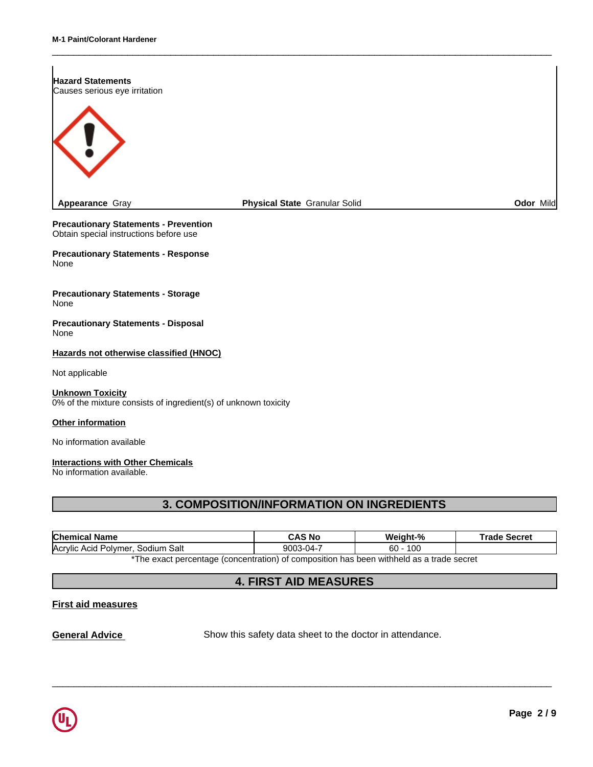

 $\_$  ,  $\_$  ,  $\_$  ,  $\_$  ,  $\_$  ,  $\_$  ,  $\_$  ,  $\_$  ,  $\_$  ,  $\_$  ,  $\_$  ,  $\_$  ,  $\_$  ,  $\_$  ,  $\_$  ,  $\_$  ,  $\_$  ,  $\_$  ,  $\_$  ,  $\_$  ,  $\_$  ,  $\_$  ,  $\_$  ,  $\_$  ,  $\_$  ,  $\_$  ,  $\_$  ,  $\_$  ,  $\_$  ,  $\_$  ,  $\_$  ,  $\_$  ,  $\_$  ,  $\_$  ,  $\_$  ,  $\_$  ,  $\_$  ,

**Precautionary Statements - Prevention** Obtain special instructions before use

**Precautionary Statements - Response** None

**Precautionary Statements - Storage** None

**Precautionary Statements - Disposal** None

### **Other information**

### **Interactions with Other Chemicals**

| <b>Precautionary Statements - Disposal</b><br>None                                         |                                                                                          |            |                     |
|--------------------------------------------------------------------------------------------|------------------------------------------------------------------------------------------|------------|---------------------|
| Hazards not otherwise classified (HNOC)                                                    |                                                                                          |            |                     |
| Not applicable                                                                             |                                                                                          |            |                     |
| <b>Unknown Toxicity</b><br>0% of the mixture consists of ingredient(s) of unknown toxicity |                                                                                          |            |                     |
| Other information                                                                          |                                                                                          |            |                     |
| No information available                                                                   |                                                                                          |            |                     |
| <b>Interactions with Other Chemicals</b><br>No information available.                      |                                                                                          |            |                     |
|                                                                                            | <b>3. COMPOSITION/INFORMATION ON INGREDIENTS</b>                                         |            |                     |
| <b>Chemical Name</b>                                                                       | <b>CAS No</b>                                                                            | Weight-%   | <b>Trade Secret</b> |
| Acrylic Acid Polymer, Sodium Salt                                                          | 9003-04-7                                                                                | $60 - 100$ |                     |
|                                                                                            | *The exact percentage (concentration) of composition has been withheld as a trade secret |            |                     |
|                                                                                            | <b>4. FIRST AID MEASURES</b>                                                             |            |                     |
| <b>First aid measures</b>                                                                  |                                                                                          |            |                     |
|                                                                                            |                                                                                          |            |                     |

## **First aid measures**

**General Advice** Show this safety data sheet to the doctor in attendance.

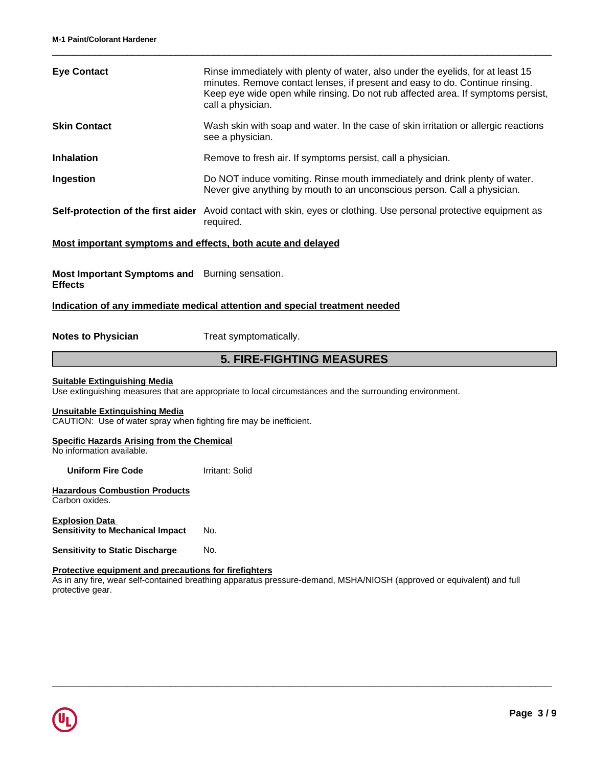| <b>Eye Contact</b>                                                                                          | Rinse immediately with plenty of water, also under the eyelids, for at least 15<br>minutes. Remove contact lenses, if present and easy to do. Continue rinsing.<br>Keep eye wide open while rinsing. Do not rub affected area. If symptoms persist,<br>call a physician. |
|-------------------------------------------------------------------------------------------------------------|--------------------------------------------------------------------------------------------------------------------------------------------------------------------------------------------------------------------------------------------------------------------------|
| <b>Skin Contact</b>                                                                                         | Wash skin with soap and water. In the case of skin irritation or allergic reactions<br>see a physician.                                                                                                                                                                  |
| <b>Inhalation</b>                                                                                           | Remove to fresh air. If symptoms persist, call a physician.                                                                                                                                                                                                              |
| Ingestion                                                                                                   | Do NOT induce vomiting. Rinse mouth immediately and drink plenty of water.<br>Never give anything by mouth to an unconscious person. Call a physician.                                                                                                                   |
|                                                                                                             | Self-protection of the first aider Avoid contact with skin, eyes or clothing. Use personal protective equipment as<br>required.                                                                                                                                          |
| Most important symptoms and effects, both acute and delayed                                                 |                                                                                                                                                                                                                                                                          |
| Most Important Symptoms and Burning sensation.<br><b>Effects</b>                                            |                                                                                                                                                                                                                                                                          |
|                                                                                                             | Indication of any immediate medical attention and special treatment needed                                                                                                                                                                                               |
| <b>Notes to Physician</b>                                                                                   | Treat symptomatically.                                                                                                                                                                                                                                                   |
|                                                                                                             | <b>5. FIRE-FIGHTING MEASURES</b>                                                                                                                                                                                                                                         |
| <b>Suitable Extinguishing Media</b>                                                                         | Use extinguishing measures that are appropriate to local circumstances and the surrounding environment.                                                                                                                                                                  |
| <b>Unsuitable Extinguishing Media</b><br>CAUTION: Use of water spray when fighting fire may be inefficient. |                                                                                                                                                                                                                                                                          |
| <b>Specific Hazards Arising from the Chemical</b><br>No information available.                              |                                                                                                                                                                                                                                                                          |
| <b>Uniform Fire Code</b>                                                                                    | Irritant: Solid                                                                                                                                                                                                                                                          |
| <b>Hazardous Combustion Products</b><br>Carbon oxides.                                                      |                                                                                                                                                                                                                                                                          |
| <b>Explosion Data</b><br><b>Sensitivity to Mechanical Impact</b>                                            | No.                                                                                                                                                                                                                                                                      |
| <b>Sensitivity to Static Discharge</b>                                                                      | No.                                                                                                                                                                                                                                                                      |
| Protective equipment and precautions for firefighters                                                       | As in any fire wear self-contained breathing apparatus pressure-demand MSHA/NIOSH (approved or equivalent) and full                                                                                                                                                      |

 $\_$  ,  $\_$  ,  $\_$  ,  $\_$  ,  $\_$  ,  $\_$  ,  $\_$  ,  $\_$  ,  $\_$  ,  $\_$  ,  $\_$  ,  $\_$  ,  $\_$  ,  $\_$  ,  $\_$  ,  $\_$  ,  $\_$  ,  $\_$  ,  $\_$  ,  $\_$  ,  $\_$  ,  $\_$  ,  $\_$  ,  $\_$  ,  $\_$  ,  $\_$  ,  $\_$  ,  $\_$  ,  $\_$  ,  $\_$  ,  $\_$  ,  $\_$  ,  $\_$  ,  $\_$  ,  $\_$  ,  $\_$  ,  $\_$  ,

As in any fire, wear self-contained breathing apparatus pressure-demand, MSHA/NIOSH (approved or equivalent) and full protective gear.

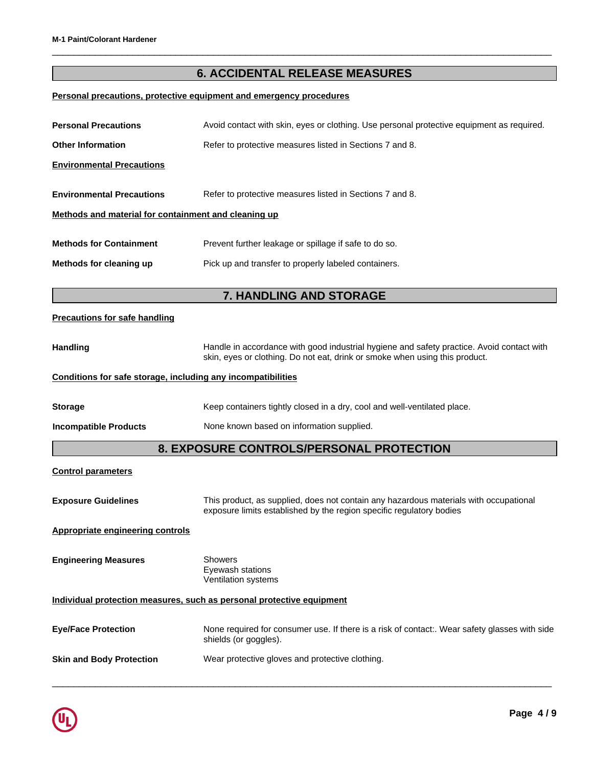# **6. ACCIDENTAL RELEASE MEASURES**

 $\_$  ,  $\_$  ,  $\_$  ,  $\_$  ,  $\_$  ,  $\_$  ,  $\_$  ,  $\_$  ,  $\_$  ,  $\_$  ,  $\_$  ,  $\_$  ,  $\_$  ,  $\_$  ,  $\_$  ,  $\_$  ,  $\_$  ,  $\_$  ,  $\_$  ,  $\_$  ,  $\_$  ,  $\_$  ,  $\_$  ,  $\_$  ,  $\_$  ,  $\_$  ,  $\_$  ,  $\_$  ,  $\_$  ,  $\_$  ,  $\_$  ,  $\_$  ,  $\_$  ,  $\_$  ,  $\_$  ,  $\_$  ,  $\_$  ,

# **Personal precautions, protective equipment and emergency procedures**

| <b>Personal Precautions</b>                                  | Avoid contact with skin, eyes or clothing. Use personal protective equipment as required.                                                                                |  |  |
|--------------------------------------------------------------|--------------------------------------------------------------------------------------------------------------------------------------------------------------------------|--|--|
| <b>Other Information</b>                                     | Refer to protective measures listed in Sections 7 and 8.                                                                                                                 |  |  |
| <b>Environmental Precautions</b>                             |                                                                                                                                                                          |  |  |
| <b>Environmental Precautions</b>                             | Refer to protective measures listed in Sections 7 and 8.                                                                                                                 |  |  |
| Methods and material for containment and cleaning up         |                                                                                                                                                                          |  |  |
| <b>Methods for Containment</b>                               | Prevent further leakage or spillage if safe to do so.                                                                                                                    |  |  |
| Methods for cleaning up                                      | Pick up and transfer to properly labeled containers.                                                                                                                     |  |  |
|                                                              | 7. HANDLING AND STORAGE                                                                                                                                                  |  |  |
| <b>Precautions for safe handling</b>                         |                                                                                                                                                                          |  |  |
| <b>Handling</b>                                              | Handle in accordance with good industrial hygiene and safety practice. Avoid contact with<br>skin, eyes or clothing. Do not eat, drink or smoke when using this product. |  |  |
| Conditions for safe storage, including any incompatibilities |                                                                                                                                                                          |  |  |
| <b>Storage</b>                                               | Keep containers tightly closed in a dry, cool and well-ventilated place.                                                                                                 |  |  |
| <b>Incompatible Products</b>                                 | None known based on information supplied.                                                                                                                                |  |  |
|                                                              | 8. EXPOSURE CONTROLS/PERSONAL PROTECTION                                                                                                                                 |  |  |
| <b>Control parameters</b>                                    |                                                                                                                                                                          |  |  |
| <b>Exposure Guidelines</b>                                   | This product, as supplied, does not contain any hazardous materials with occupational<br>exposure limits established by the region specific regulatory bodies            |  |  |
| <b>Appropriate engineering controls</b>                      |                                                                                                                                                                          |  |  |
| <b>Engineering Measures</b>                                  | <b>Showers</b><br>Eyewash stations<br>Ventilation systems                                                                                                                |  |  |
|                                                              | Individual protection measures, such as personal protective equipment                                                                                                    |  |  |
| <b>Eye/Face Protection</b>                                   | None required for consumer use. If there is a risk of contact:. Wear safety glasses with side<br>shields (or goggles).                                                   |  |  |
| <b>Skin and Body Protection</b>                              | Wear protective gloves and protective clothing.                                                                                                                          |  |  |
|                                                              |                                                                                                                                                                          |  |  |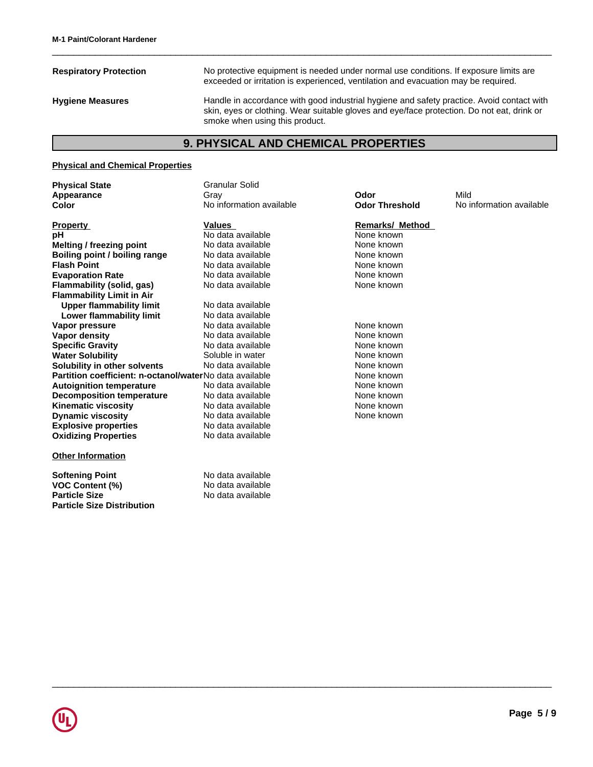**Respiratory Protection** No protective equipment is needed under normal use conditions. If exposure limits are exceeded or irritation is experienced, ventilation and evacuation may be required. **Hygiene Measures** Handle in accordance with good industrial hygiene and safety practice. Avoid contact with skin, eyes or clothing. Wear suitable gloves and eye/face protection. Do not eat, drink or smoke when using this product. No protective equipment is needed under normal use conditions. If exposure limits are exceeded or irritation is experienced, ventilation and evacuation may be required.<br>
Handle in accordance with good industrial hygiene an

 $\_$  ,  $\_$  ,  $\_$  ,  $\_$  ,  $\_$  ,  $\_$  ,  $\_$  ,  $\_$  ,  $\_$  ,  $\_$  ,  $\_$  ,  $\_$  ,  $\_$  ,  $\_$  ,  $\_$  ,  $\_$  ,  $\_$  ,  $\_$  ,  $\_$  ,  $\_$  ,  $\_$  ,  $\_$  ,  $\_$  ,  $\_$  ,  $\_$  ,  $\_$  ,  $\_$  ,  $\_$  ,  $\_$  ,  $\_$  ,  $\_$  ,  $\_$  ,  $\_$  ,  $\_$  ,  $\_$  ,  $\_$  ,  $\_$  ,

### **Physical and Chemical Properties**

**Physical State** Granular Solid

**Explosive properties** No data available **Oxidizing Properties** No data available **Property Community Property Community Values Accord Property Remarks/ Method pH** No data available None known<br> **Melting / freezing point** No data available None known **Melting / freezing point Boiling point / boiling range** No data available None None known **Flash Point No data available Note known None known Evaporation Rate No data available None known**<br> **Elammability (solid. gas)** No data available **None known**<br>
None known **Flammability (solid, gas) Flammability Limit in Air Upper flammability limit** No data available<br> **Lower flammability limit** No data available **Lower flammability limit** No data available<br>**No data available** No data available **Vapor pressure No data available and the None known**<br> **Vapor density No data available None known**<br>
None known **Vapor density** No data available None known **Specific Gravity Specific Gravity** No data available<br>
Water Solubility Soluble in water **Water Solubility Communisty Soluble in water Communisty Communisty Communisty Communisty Communisty Communisty Solubility in other solvents** No data available None known **Partition coefficient: n-octanol/water**No data available **None known Autoignition temperature** Mo data available Mone Known<br> **Decomposition temperature** No data available None Known **Decomposition temperature** No data available None Known<br> **Kinematic viscosity** No data available None known **Kinematic viscosity** No data available None known **Dynamic viscosity**

### **Other Information**

**Softening Point**<br> **VOC Content (%)**<br> **VOC Content (%)**<br> **No data available VOC Content (%)**<br>Particle Size **Particle Size Distribution**

**Appearance** Gray **Odor** Mild **Color Color No information available Odor Threshold** No information available

No data available

**Particle Size** No data available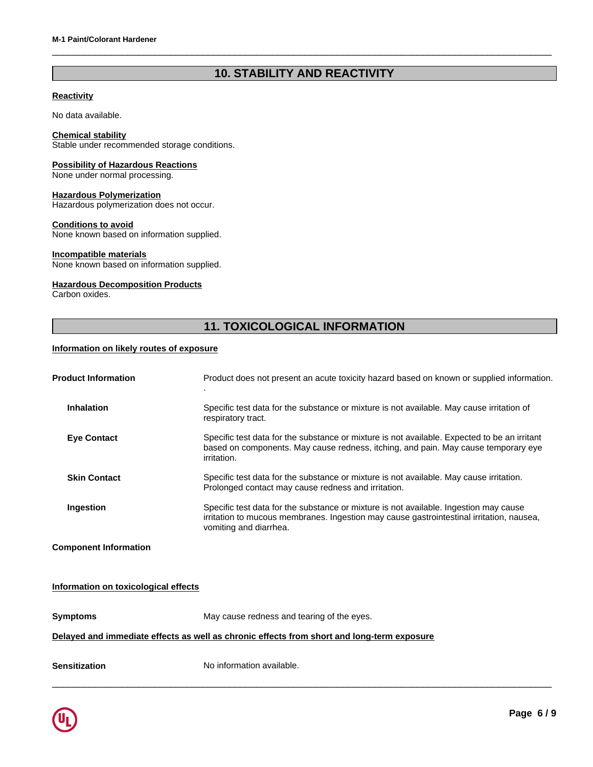# **10. STABILITY AND REACTIVITY**

 $\_$  ,  $\_$  ,  $\_$  ,  $\_$  ,  $\_$  ,  $\_$  ,  $\_$  ,  $\_$  ,  $\_$  ,  $\_$  ,  $\_$  ,  $\_$  ,  $\_$  ,  $\_$  ,  $\_$  ,  $\_$  ,  $\_$  ,  $\_$  ,  $\_$  ,  $\_$  ,  $\_$  ,  $\_$  ,  $\_$  ,  $\_$  ,  $\_$  ,  $\_$  ,  $\_$  ,  $\_$  ,  $\_$  ,  $\_$  ,  $\_$  ,  $\_$  ,  $\_$  ,  $\_$  ,  $\_$  ,  $\_$  ,  $\_$  ,

# **Reactivity**

No data available.

### **Chemical stability**

Stable under recommended storage conditions.

### **Possibility of Hazardous Reactions**

None under normal processing.

### **Hazardous Polymerization**

Hazardous polymerization does not occur.

### **Conditions to avoid**

None known based on information supplied.

### **Incompatible materials**

None known based on information supplied.

# **Hazardous Decomposition Products**

Carbon oxides.

# <sup>utr.</sup><br>|<br>|iled.<br>| **11. TOXICOLOGICAL INFORMATION**

## **Information on likely routes of exposure**

| <b>Product Information</b>           | Product does not present an acute toxicity hazard based on known or supplied information.                                                                                                                   |
|--------------------------------------|-------------------------------------------------------------------------------------------------------------------------------------------------------------------------------------------------------------|
| <b>Inhalation</b>                    | Specific test data for the substance or mixture is not available. May cause irritation of<br>respiratory tract.                                                                                             |
| <b>Eye Contact</b>                   | Specific test data for the substance or mixture is not available. Expected to be an irritant<br>based on components. May cause redness, itching, and pain. May cause temporary eye<br>irritation.           |
| <b>Skin Contact</b>                  | Specific test data for the substance or mixture is not available. May cause irritation.<br>Prolonged contact may cause redness and irritation.                                                              |
| Ingestion                            | Specific test data for the substance or mixture is not available. Ingestion may cause<br>irritation to mucous membranes. Ingestion may cause gastrointestinal irritation, nausea,<br>vomiting and diarrhea. |
| <b>Component Information</b>         |                                                                                                                                                                                                             |
| Information on toxicological effects |                                                                                                                                                                                                             |

 $\_$  ,  $\_$  ,  $\_$  ,  $\_$  ,  $\_$  ,  $\_$  ,  $\_$  ,  $\_$  ,  $\_$  ,  $\_$  ,  $\_$  ,  $\_$  ,  $\_$  ,  $\_$  ,  $\_$  ,  $\_$  ,  $\_$  ,  $\_$  ,  $\_$  ,  $\_$  ,  $\_$  ,  $\_$  ,  $\_$  ,  $\_$  ,  $\_$  ,  $\_$  ,  $\_$  ,  $\_$  ,  $\_$  ,  $\_$  ,  $\_$  ,  $\_$  ,  $\_$  ,  $\_$  ,  $\_$  ,  $\_$  ,  $\_$  ,

# **Symptoms** May cause redness and tearing of the eyes. **Delayed and immediate effects as well as chronic effects from short and long-term exposure Sensitization** No information available.

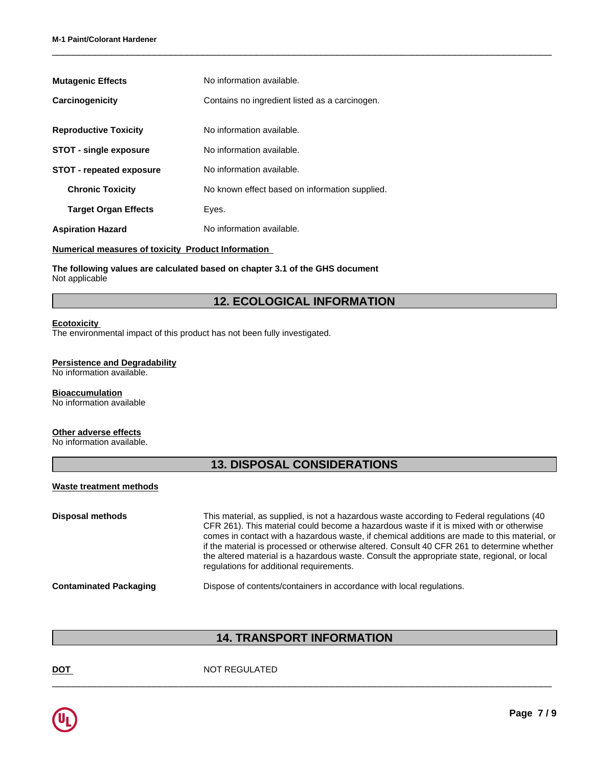| <b>Mutagenic Effects</b>                                                                        | No information available.                                                    |  |
|-------------------------------------------------------------------------------------------------|------------------------------------------------------------------------------|--|
| Carcinogenicity                                                                                 | Contains no ingredient listed as a carcinogen.                               |  |
| <b>Reproductive Toxicity</b>                                                                    | No information available.                                                    |  |
| <b>STOT - single exposure</b>                                                                   | No information available.                                                    |  |
| <b>STOT - repeated exposure</b>                                                                 | No information available.                                                    |  |
| <b>Chronic Toxicity</b>                                                                         | No known effect based on information supplied.                               |  |
| <b>Target Organ Effects</b>                                                                     | Eyes.                                                                        |  |
| <b>Aspiration Hazard</b>                                                                        | No information available.                                                    |  |
| <b>Numerical measures of toxicity Product Information</b>                                       |                                                                              |  |
| Not applicable                                                                                  | The following values are calculated based on chapter 3.1 of the GHS document |  |
|                                                                                                 | <b>12. ECOLOGICAL INFORMATION</b>                                            |  |
| <b>Ecotoxicity</b><br>The environmental impact of this product has not been fully investigated. |                                                                              |  |

 $\_$  ,  $\_$  ,  $\_$  ,  $\_$  ,  $\_$  ,  $\_$  ,  $\_$  ,  $\_$  ,  $\_$  ,  $\_$  ,  $\_$  ,  $\_$  ,  $\_$  ,  $\_$  ,  $\_$  ,  $\_$  ,  $\_$  ,  $\_$  ,  $\_$  ,  $\_$  ,  $\_$  ,  $\_$  ,  $\_$  ,  $\_$  ,  $\_$  ,  $\_$  ,  $\_$  ,  $\_$  ,  $\_$  ,  $\_$  ,  $\_$  ,  $\_$  ,  $\_$  ,  $\_$  ,  $\_$  ,  $\_$  ,  $\_$  ,

# **Ecotoxicity**

### **Persistence and Degradability**

### **Bioaccumulation**

### **Other adverse effects**

## **Waste treatment methods**

|                                                                   | <b>12. ECOLOGICAL INFORMATION</b>                                                                                                                                                                                                                                                                                                                                                                                                                                                                                              |
|-------------------------------------------------------------------|--------------------------------------------------------------------------------------------------------------------------------------------------------------------------------------------------------------------------------------------------------------------------------------------------------------------------------------------------------------------------------------------------------------------------------------------------------------------------------------------------------------------------------|
| <b>Ecotoxicity</b>                                                | The environmental impact of this product has not been fully investigated.                                                                                                                                                                                                                                                                                                                                                                                                                                                      |
| <b>Persistence and Degradability</b><br>No information available. |                                                                                                                                                                                                                                                                                                                                                                                                                                                                                                                                |
| <b>Bioaccumulation</b><br>No information available                |                                                                                                                                                                                                                                                                                                                                                                                                                                                                                                                                |
| Other adverse effects<br>No information available.                |                                                                                                                                                                                                                                                                                                                                                                                                                                                                                                                                |
|                                                                   | <b>13. DISPOSAL CONSIDERATIONS</b>                                                                                                                                                                                                                                                                                                                                                                                                                                                                                             |
| <b>Waste treatment methods</b>                                    |                                                                                                                                                                                                                                                                                                                                                                                                                                                                                                                                |
| <b>Disposal methods</b>                                           | This material, as supplied, is not a hazardous waste according to Federal regulations (40<br>CFR 261). This material could become a hazardous waste if it is mixed with or otherwise<br>comes in contact with a hazardous waste, if chemical additions are made to this material, or<br>if the material is processed or otherwise altered. Consult 40 CFR 261 to determine whether<br>the altered material is a hazardous waste. Consult the appropriate state, regional, or local<br>regulations for additional requirements. |
| <b>Contaminated Packaging</b>                                     | Dispose of contents/containers in accordance with local regulations.                                                                                                                                                                                                                                                                                                                                                                                                                                                           |
|                                                                   |                                                                                                                                                                                                                                                                                                                                                                                                                                                                                                                                |
|                                                                   | <b>14. TRANSPORT INFORMATION</b>                                                                                                                                                                                                                                                                                                                                                                                                                                                                                               |
| <b>DOT</b>                                                        | <b>NOT REGULATED</b>                                                                                                                                                                                                                                                                                                                                                                                                                                                                                                           |

 $\_$  ,  $\_$  ,  $\_$  ,  $\_$  ,  $\_$  ,  $\_$  ,  $\_$  ,  $\_$  ,  $\_$  ,  $\_$  ,  $\_$  ,  $\_$  ,  $\_$  ,  $\_$  ,  $\_$  ,  $\_$  ,  $\_$  ,  $\_$  ,  $\_$  ,  $\_$  ,  $\_$  ,  $\_$  ,  $\_$  ,  $\_$  ,  $\_$  ,  $\_$  ,  $\_$  ,  $\_$  ,  $\_$  ,  $\_$  ,  $\_$  ,  $\_$  ,  $\_$  ,  $\_$  ,  $\_$  ,  $\_$  ,  $\_$  ,

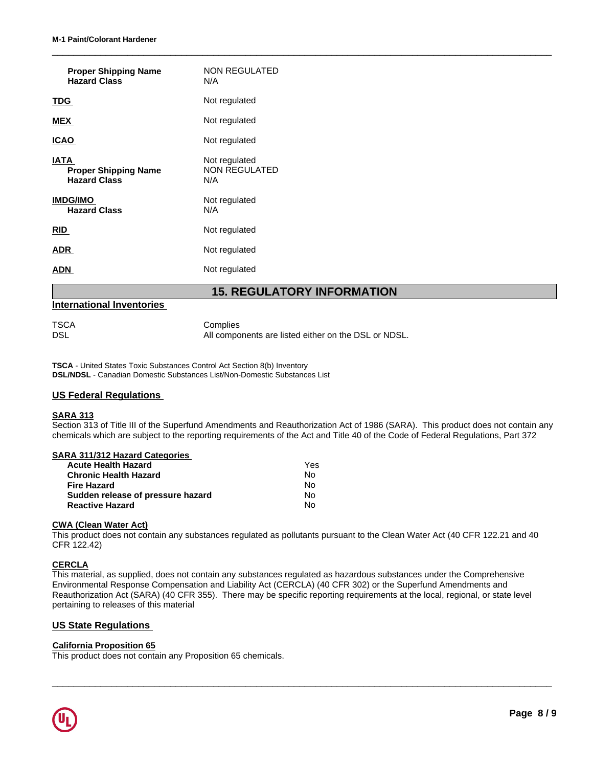| <b>Proper Shipping Name</b><br><b>Hazard Class</b>         | <b>NON REGULATED</b><br>N/A                                      |
|------------------------------------------------------------|------------------------------------------------------------------|
| <u>TDG</u>                                                 | Not regulated                                                    |
| MEX                                                        | Not regulated                                                    |
| <b>ICAO</b>                                                | Not regulated                                                    |
| IATA<br><b>Proper Shipping Name</b><br><b>Hazard Class</b> | Not regulated<br>NON REGULATED<br>N/A                            |
| IMDG/IMO<br><b>Hazard Class</b>                            | Not regulated<br>N/A                                             |
| <u>RID</u>                                                 | Not regulated                                                    |
| <u>ADR</u>                                                 | Not regulated                                                    |
| <u>ADN</u>                                                 | Not regulated                                                    |
|                                                            | <b>15. REGULATORY INFORMATION</b>                                |
| <b>International Inventories</b>                           |                                                                  |
| TSCA<br>dsl                                                | Complies<br>All components are listed either on the DSL or NDSL. |

### **International Inventories**

 $\_$  ,  $\_$  ,  $\_$  ,  $\_$  ,  $\_$  ,  $\_$  ,  $\_$  ,  $\_$  ,  $\_$  ,  $\_$  ,  $\_$  ,  $\_$  ,  $\_$  ,  $\_$  ,  $\_$  ,  $\_$  ,  $\_$  ,  $\_$  ,  $\_$  ,  $\_$  ,  $\_$  ,  $\_$  ,  $\_$  ,  $\_$  ,  $\_$  ,  $\_$  ,  $\_$  ,  $\_$  ,  $\_$  ,  $\_$  ,  $\_$  ,  $\_$  ,  $\_$  ,  $\_$  ,  $\_$  ,  $\_$  ,  $\_$  ,

**TSCA** - United States Toxic Substances Control Act Section 8(b) Inventory **DSL/NDSL** - Canadian Domestic Substances List/Non-Domestic Substances List

### **US Federal Regulations**

### **SARA 313**

Section 313 of Title III of the Superfund Amendments and Reauthorization Act of 1986 (SARA). This product does not contain any chemicals which are subject to the reporting requirements of the Act and Title 40 of the Code of Federal Regulations, Part 372

### **SARA 311/312 Hazard Categories**

| <b>Acute Health Hazard</b>        | Yes |
|-----------------------------------|-----|
| <b>Chronic Health Hazard</b>      | N٥  |
| <b>Fire Hazard</b>                | N٥  |
| Sudden release of pressure hazard | No  |
| <b>Reactive Hazard</b>            | N٥  |

### **CWA (Clean Water Act)**

This product does not contain any substances regulated as pollutants pursuant to the Clean Water Act (40 CFR 122.21 and 40 CFR 122.42)

### **CERCLA**

This material, as supplied, does not contain any substances regulated as hazardous substances under the Comprehensive Environmental Response Compensation and Liability Act (CERCLA) (40 CFR 302) or the Superfund Amendments and Reauthorization Act (SARA) (40 CFR 355). There may be specific reporting requirements at the local, regional, or state level pertaining to releases of this material

 $\_$  ,  $\_$  ,  $\_$  ,  $\_$  ,  $\_$  ,  $\_$  ,  $\_$  ,  $\_$  ,  $\_$  ,  $\_$  ,  $\_$  ,  $\_$  ,  $\_$  ,  $\_$  ,  $\_$  ,  $\_$  ,  $\_$  ,  $\_$  ,  $\_$  ,  $\_$  ,  $\_$  ,  $\_$  ,  $\_$  ,  $\_$  ,  $\_$  ,  $\_$  ,  $\_$  ,  $\_$  ,  $\_$  ,  $\_$  ,  $\_$  ,  $\_$  ,  $\_$  ,  $\_$  ,  $\_$  ,  $\_$  ,  $\_$  ,

# **US State Regulations**

### **California Proposition 65**

This product does not contain any Proposition 65 chemicals.